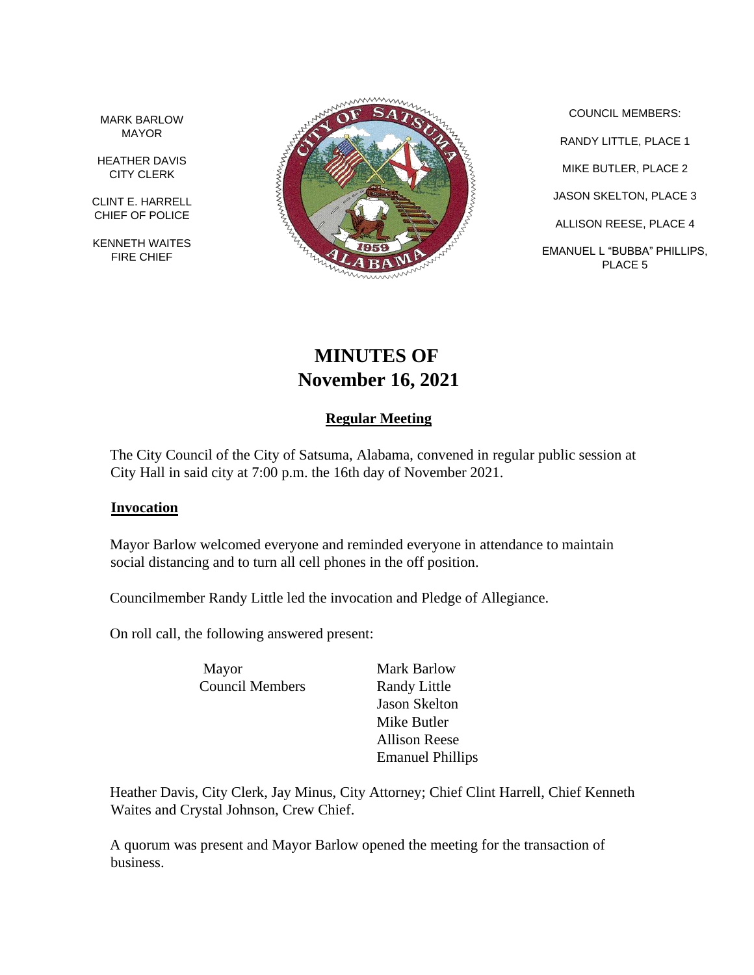MARK BARLOW MAYOR

HEATHER DAVIS CITY CLERK

CLINT E. HARRELL CHIEF OF POLICE

KENNETH WAITES FIRE CHIEF



COUNCIL MEMBERS: RANDY LITTLE, PLACE 1 MIKE BUTLER, PLACE 2 JASON SKELTON, PLACE 3 ALLISON REESE, PLACE 4 EMANUEL L "BUBBA" PHILLIPS, PLACE 5

# **MINUTES OF November 16, 2021**

## **Regular Meeting**

The City Council of the City of Satsuma, Alabama, convened in regular public session at City Hall in said city at 7:00 p.m. the 16th day of November 2021.

#### **Invocation**

Mayor Barlow welcomed everyone and reminded everyone in attendance to maintain social distancing and to turn all cell phones in the off position.

Councilmember Randy Little led the invocation and Pledge of Allegiance.

On roll call, the following answered present:

Mayor Mark Barlow Council Members Randy Little

Jason Skelton Mike Butler Allison Reese Emanuel Phillips

Heather Davis, City Clerk, Jay Minus, City Attorney; Chief Clint Harrell, Chief Kenneth Waites and Crystal Johnson, Crew Chief.

A quorum was present and Mayor Barlow opened the meeting for the transaction of business.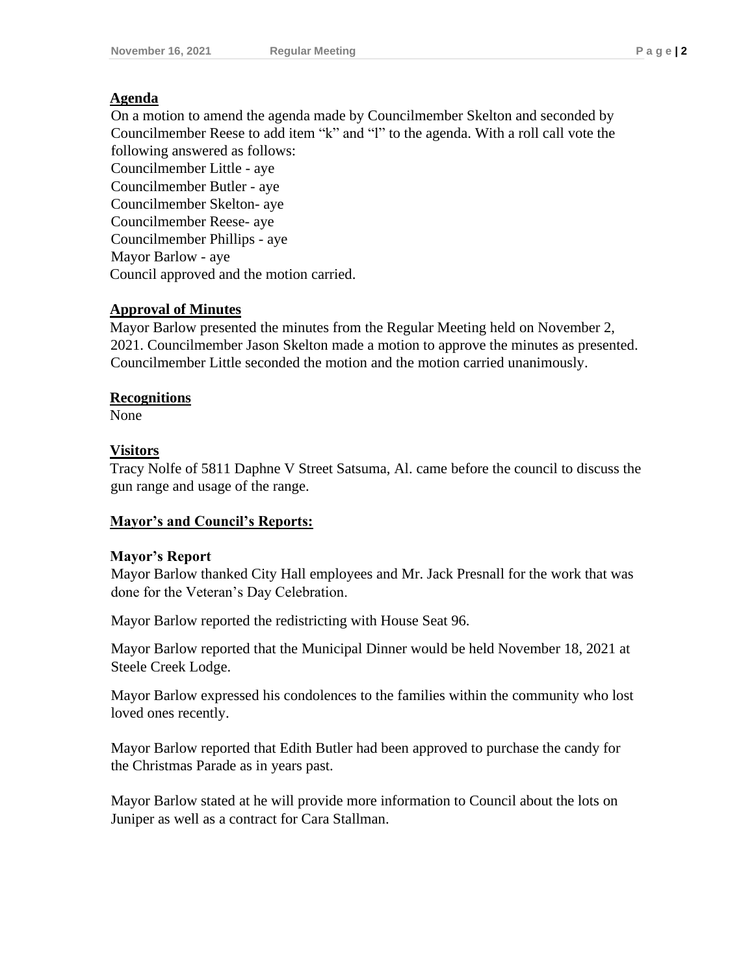## **Agenda**

On a motion to amend the agenda made by Councilmember Skelton and seconded by Councilmember Reese to add item "k" and "l" to the agenda. With a roll call vote the following answered as follows:

Councilmember Little - aye Councilmember Butler - aye Councilmember Skelton- aye Councilmember Reese- aye Councilmember Phillips - aye Mayor Barlow - aye Council approved and the motion carried.

## **Approval of Minutes**

Mayor Barlow presented the minutes from the Regular Meeting held on November 2, 2021. Councilmember Jason Skelton made a motion to approve the minutes as presented. Councilmember Little seconded the motion and the motion carried unanimously.

## **Recognitions**

None

## **Visitors**

Tracy Nolfe of 5811 Daphne V Street Satsuma, Al. came before the council to discuss the gun range and usage of the range.

## **Mayor's and Council's Reports:**

## **Mayor's Report**

Mayor Barlow thanked City Hall employees and Mr. Jack Presnall for the work that was done for the Veteran's Day Celebration.

Mayor Barlow reported the redistricting with House Seat 96.

Mayor Barlow reported that the Municipal Dinner would be held November 18, 2021 at Steele Creek Lodge.

Mayor Barlow expressed his condolences to the families within the community who lost loved ones recently.

Mayor Barlow reported that Edith Butler had been approved to purchase the candy for the Christmas Parade as in years past.

Mayor Barlow stated at he will provide more information to Council about the lots on Juniper as well as a contract for Cara Stallman.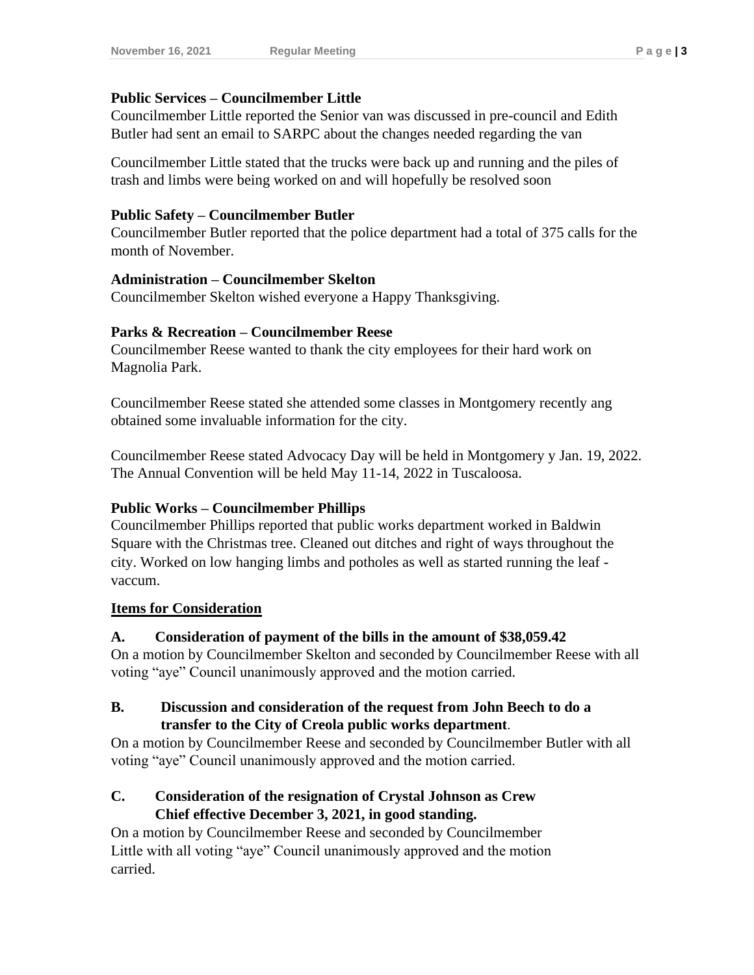#### **Public Services – Councilmember Little**

Councilmember Little reported the Senior van was discussed in pre-council and Edith Butler had sent an email to SARPC about the changes needed regarding the van

Councilmember Little stated that the trucks were back up and running and the piles of trash and limbs were being worked on and will hopefully be resolved soon

#### **Public Safety – Councilmember Butler**

Councilmember Butler reported that the police department had a total of 375 calls for the month of November.

#### **Administration – Councilmember Skelton**

Councilmember Skelton wished everyone a Happy Thanksgiving.

#### **Parks & Recreation – Councilmember Reese**

Councilmember Reese wanted to thank the city employees for their hard work on Magnolia Park.

Councilmember Reese stated she attended some classes in Montgomery recently ang obtained some invaluable information for the city.

Councilmember Reese stated Advocacy Day will be held in Montgomery y Jan. 19, 2022. The Annual Convention will be held May 11-14, 2022 in Tuscaloosa.

## **Public Works – Councilmember Phillips**

Councilmember Phillips reported that public works department worked in Baldwin Square with the Christmas tree. Cleaned out ditches and right of ways throughout the city. Worked on low hanging limbs and potholes as well as started running the leaf vaccum.

## **Items for Consideration**

## **A. Consideration of payment of the bills in the amount of \$38,059.42**

On a motion by Councilmember Skelton and seconded by Councilmember Reese with all voting "aye" Council unanimously approved and the motion carried.

## **B. Discussion and consideration of the request from John Beech to do a transfer to the City of Creola public works department**.

On a motion by Councilmember Reese and seconded by Councilmember Butler with all voting "aye" Council unanimously approved and the motion carried.

## **C. Consideration of the resignation of Crystal Johnson as Crew Chief effective December 3, 2021, in good standing.**

On a motion by Councilmember Reese and seconded by Councilmember Little with all voting "aye" Council unanimously approved and the motion carried.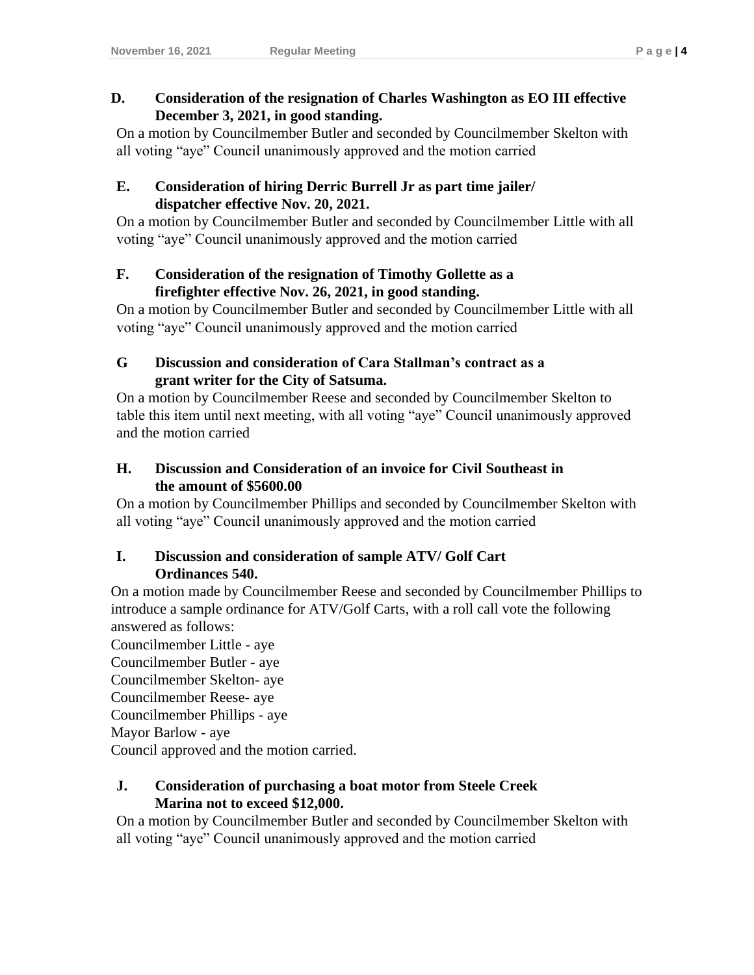## **D. Consideration of the resignation of Charles Washington as EO III effective December 3, 2021, in good standing.**

On a motion by Councilmember Butler and seconded by Councilmember Skelton with all voting "aye" Council unanimously approved and the motion carried

## **E. Consideration of hiring Derric Burrell Jr as part time jailer/ dispatcher effective Nov. 20, 2021.**

On a motion by Councilmember Butler and seconded by Councilmember Little with all voting "aye" Council unanimously approved and the motion carried

## **F. Consideration of the resignation of Timothy Gollette as a firefighter effective Nov. 26, 2021, in good standing.**

On a motion by Councilmember Butler and seconded by Councilmember Little with all voting "aye" Council unanimously approved and the motion carried

## **G Discussion and consideration of Cara Stallman's contract as a grant writer for the City of Satsuma.**

On a motion by Councilmember Reese and seconded by Councilmember Skelton to table this item until next meeting, with all voting "aye" Council unanimously approved and the motion carried

# **H. Discussion and Consideration of an invoice for Civil Southeast in the amount of \$5600.00**

On a motion by Councilmember Phillips and seconded by Councilmember Skelton with all voting "aye" Council unanimously approved and the motion carried

# **I. Discussion and consideration of sample ATV/ Golf Cart Ordinances 540.**

On a motion made by Councilmember Reese and seconded by Councilmember Phillips to introduce a sample ordinance for ATV/Golf Carts, with a roll call vote the following answered as follows:

Councilmember Little - aye

Councilmember Butler - aye

Councilmember Skelton- aye

Councilmember Reese- aye

Councilmember Phillips - aye

Mayor Barlow - aye

Council approved and the motion carried.

# **J. Consideration of purchasing a boat motor from Steele Creek Marina not to exceed \$12,000.**

On a motion by Councilmember Butler and seconded by Councilmember Skelton with all voting "aye" Council unanimously approved and the motion carried